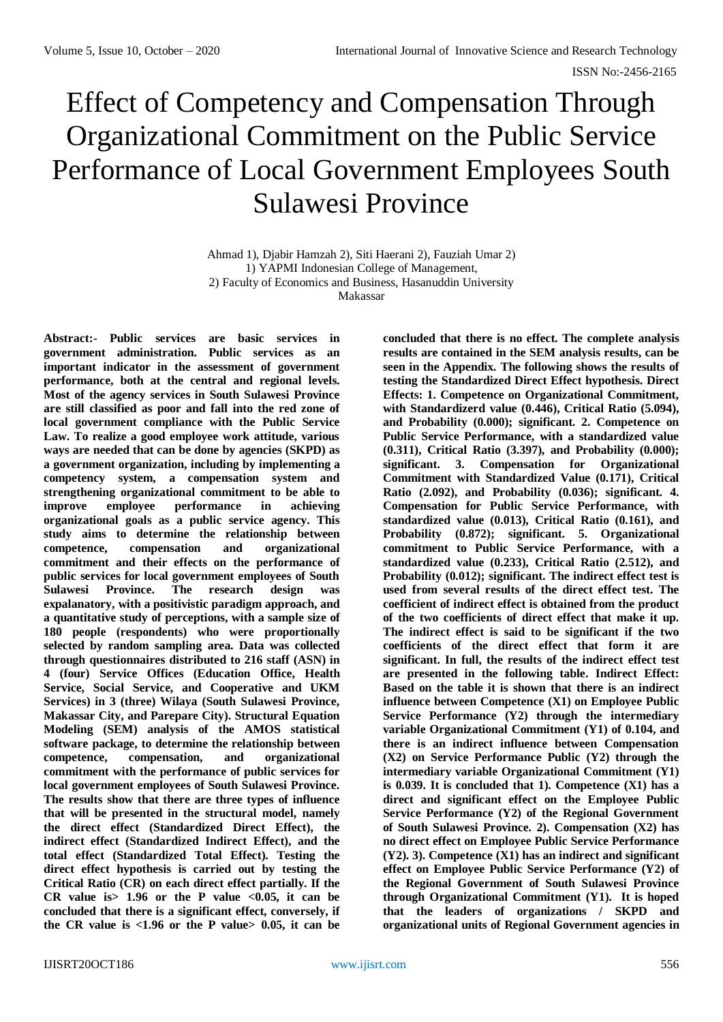# Effect of Competency and Compensation Through Organizational Commitment on the Public Service Performance of Local Government Employees South Sulawesi Province

Ahmad 1), Djabir Hamzah 2), Siti Haerani 2), Fauziah Umar 2) 1) YAPMI Indonesian College of Management, 2) Faculty of Economics and Business, Hasanuddin University Makassar

**Abstract:- Public services are basic services in government administration. Public services as an important indicator in the assessment of government performance, both at the central and regional levels. Most of the agency services in South Sulawesi Province are still classified as poor and fall into the red zone of local government compliance with the Public Service Law. To realize a good employee work attitude, various ways are needed that can be done by agencies (SKPD) as a government organization, including by implementing a competency system, a compensation system and strengthening organizational commitment to be able to improve employee performance in achieving organizational goals as a public service agency. This study aims to determine the relationship between competence, compensation and organizational commitment and their effects on the performance of public services for local government employees of South Sulawesi Province. The research design was expalanatory, with a positivistic paradigm approach, and a quantitative study of perceptions, with a sample size of 180 people (respondents) who were proportionally selected by random sampling area. Data was collected through questionnaires distributed to 216 staff (ASN) in 4 (four) Service Offices (Education Office, Health Service, Social Service, and Cooperative and UKM Services) in 3 (three) Wilaya (South Sulawesi Province, Makassar City, and Parepare City). Structural Equation Modeling (SEM) analysis of the AMOS statistical software package, to determine the relationship between competence, compensation, and organizational commitment with the performance of public services for local government employees of South Sulawesi Province. The results show that there are three types of influence that will be presented in the structural model, namely the direct effect (Standardized Direct Effect), the indirect effect (Standardized Indirect Effect), and the total effect (Standardized Total Effect). Testing the direct effect hypothesis is carried out by testing the Critical Ratio (CR) on each direct effect partially. If the**  CR value is  $1.96$  or the P value  $\langle 0.05, 11 \rangle$  can be **concluded that there is a significant effect, conversely, if**  the CR value is  $<1.96$  or the P value  $>0.05$ , it can be

**concluded that there is no effect. The complete analysis results are contained in the SEM analysis results, can be seen in the Appendix. The following shows the results of testing the Standardized Direct Effect hypothesis. Direct Effects: 1. Competence on Organizational Commitment, with Standardizerd value (0.446), Critical Ratio (5.094), and Probability (0.000); significant. 2. Competence on Public Service Performance, with a standardized value (0.311), Critical Ratio (3.397), and Probability (0.000); significant. 3. Compensation for Organizational Commitment with Standardized Value (0.171), Critical Ratio (2.092), and Probability (0.036); significant. 4. Compensation for Public Service Performance, with standardized value (0.013), Critical Ratio (0.161), and Probability (0.872); significant. 5. Organizational commitment to Public Service Performance, with a standardized value (0.233), Critical Ratio (2.512), and Probability (0.012); significant. The indirect effect test is used from several results of the direct effect test. The coefficient of indirect effect is obtained from the product of the two coefficients of direct effect that make it up. The indirect effect is said to be significant if the two coefficients of the direct effect that form it are significant. In full, the results of the indirect effect test are presented in the following table. Indirect Effect: Based on the table it is shown that there is an indirect influence between Competence (X1) on Employee Public Service Performance (Y2) through the intermediary variable Organizational Commitment (Y1) of 0.104, and there is an indirect influence between Compensation (X2) on Service Performance Public (Y2) through the intermediary variable Organizational Commitment (Y1) is 0.039. It is concluded that 1). Competence (X1) has a direct and significant effect on the Employee Public Service Performance (Y2) of the Regional Government of South Sulawesi Province. 2). Compensation (X2) has no direct effect on Employee Public Service Performance (Y2). 3). Competence (X1) has an indirect and significant effect on Employee Public Service Performance (Y2) of the Regional Government of South Sulawesi Province through Organizational Commitment (Y1). It is hoped that the leaders of organizations / SKPD and organizational units of Regional Government agencies in**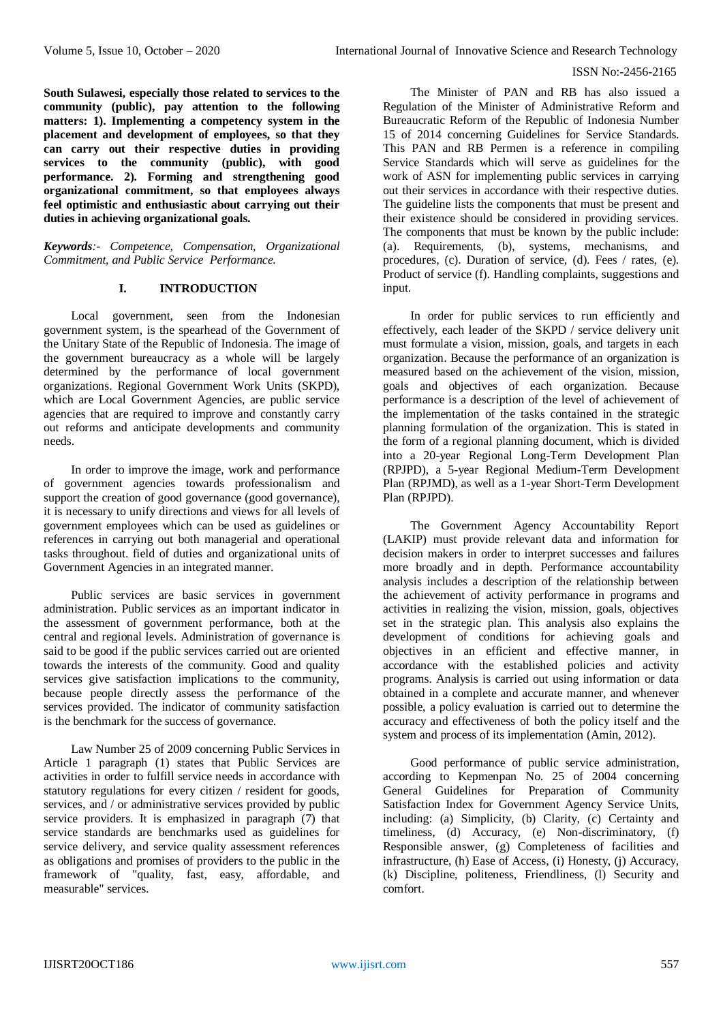**South Sulawesi, especially those related to services to the community (public), pay attention to the following matters: 1). Implementing a competency system in the placement and development of employees, so that they can carry out their respective duties in providing services to the community (public), with good performance. 2). Forming and strengthening good organizational commitment, so that employees always feel optimistic and enthusiastic about carrying out their duties in achieving organizational goals.**

*Keywords:- Competence, Compensation, Organizational Commitment, and Public Service Performance.*

# **I. INTRODUCTION**

Local government, seen from the Indonesian government system, is the spearhead of the Government of the Unitary State of the Republic of Indonesia. The image of the government bureaucracy as a whole will be largely determined by the performance of local government organizations. Regional Government Work Units (SKPD), which are Local Government Agencies, are public service agencies that are required to improve and constantly carry out reforms and anticipate developments and community needs.

In order to improve the image, work and performance of government agencies towards professionalism and support the creation of good governance (good governance), it is necessary to unify directions and views for all levels of government employees which can be used as guidelines or references in carrying out both managerial and operational tasks throughout. field of duties and organizational units of Government Agencies in an integrated manner.

Public services are basic services in government administration. Public services as an important indicator in the assessment of government performance, both at the central and regional levels. Administration of governance is said to be good if the public services carried out are oriented towards the interests of the community. Good and quality services give satisfaction implications to the community, because people directly assess the performance of the services provided. The indicator of community satisfaction is the benchmark for the success of governance.

Law Number 25 of 2009 concerning Public Services in Article 1 paragraph (1) states that Public Services are activities in order to fulfill service needs in accordance with statutory regulations for every citizen / resident for goods, services, and / or administrative services provided by public service providers. It is emphasized in paragraph (7) that service standards are benchmarks used as guidelines for service delivery, and service quality assessment references as obligations and promises of providers to the public in the framework of "quality, fast, easy, affordable, and measurable" services.

The Minister of PAN and RB has also issued a Regulation of the Minister of Administrative Reform and Bureaucratic Reform of the Republic of Indonesia Number 15 of 2014 concerning Guidelines for Service Standards. This PAN and RB Permen is a reference in compiling Service Standards which will serve as guidelines for the work of ASN for implementing public services in carrying out their services in accordance with their respective duties. The guideline lists the components that must be present and their existence should be considered in providing services. The components that must be known by the public include: (a). Requirements, (b), systems, mechanisms, and procedures, (c). Duration of service, (d). Fees / rates, (e). Product of service (f). Handling complaints, suggestions and input.

In order for public services to run efficiently and effectively, each leader of the SKPD / service delivery unit must formulate a vision, mission, goals, and targets in each organization. Because the performance of an organization is measured based on the achievement of the vision, mission, goals and objectives of each organization. Because performance is a description of the level of achievement of the implementation of the tasks contained in the strategic planning formulation of the organization. This is stated in the form of a regional planning document, which is divided into a 20-year Regional Long-Term Development Plan (RPJPD), a 5-year Regional Medium-Term Development Plan (RPJMD), as well as a 1-year Short-Term Development Plan (RPJPD).

The Government Agency Accountability Report (LAKIP) must provide relevant data and information for decision makers in order to interpret successes and failures more broadly and in depth. Performance accountability analysis includes a description of the relationship between the achievement of activity performance in programs and activities in realizing the vision, mission, goals, objectives set in the strategic plan. This analysis also explains the development of conditions for achieving goals and objectives in an efficient and effective manner, in accordance with the established policies and activity programs. Analysis is carried out using information or data obtained in a complete and accurate manner, and whenever possible, a policy evaluation is carried out to determine the accuracy and effectiveness of both the policy itself and the system and process of its implementation (Amin, 2012).

Good performance of public service administration, according to Kepmenpan No. 25 of 2004 concerning General Guidelines for Preparation of Community Satisfaction Index for Government Agency Service Units, including: (a) Simplicity, (b) Clarity, (c) Certainty and timeliness, (d) Accuracy, (e) Non-discriminatory, (f) Responsible answer, (g) Completeness of facilities and infrastructure, (h) Ease of Access, (i) Honesty, (j) Accuracy, (k) Discipline, politeness, Friendliness, (l) Security and comfort.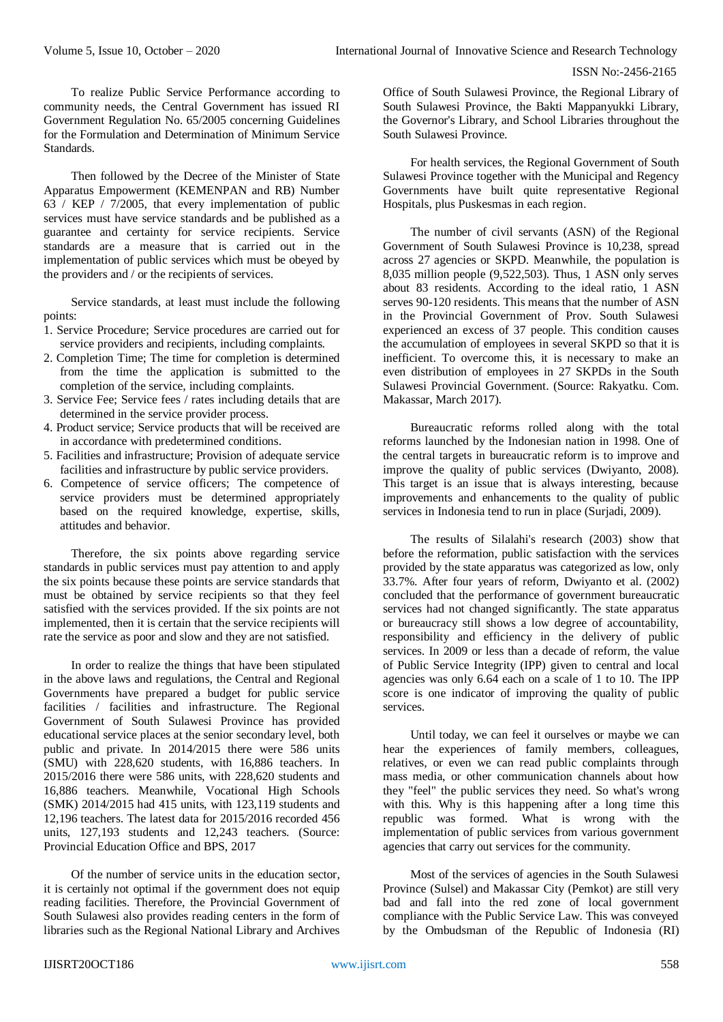To realize Public Service Performance according to community needs, the Central Government has issued RI Government Regulation No. 65/2005 concerning Guidelines for the Formulation and Determination of Minimum Service Standards.

Then followed by the Decree of the Minister of State Apparatus Empowerment (KEMENPAN and RB) Number 63 / KEP / 7/2005, that every implementation of public services must have service standards and be published as a guarantee and certainty for service recipients. Service standards are a measure that is carried out in the implementation of public services which must be obeyed by the providers and / or the recipients of services.

Service standards, at least must include the following points:

- 1. Service Procedure; Service procedures are carried out for service providers and recipients, including complaints.
- 2. Completion Time; The time for completion is determined from the time the application is submitted to the completion of the service, including complaints.
- 3. Service Fee; Service fees / rates including details that are determined in the service provider process.
- 4. Product service; Service products that will be received are in accordance with predetermined conditions.
- 5. Facilities and infrastructure; Provision of adequate service facilities and infrastructure by public service providers.
- 6. Competence of service officers; The competence of service providers must be determined appropriately based on the required knowledge, expertise, skills, attitudes and behavior.

Therefore, the six points above regarding service standards in public services must pay attention to and apply the six points because these points are service standards that must be obtained by service recipients so that they feel satisfied with the services provided. If the six points are not implemented, then it is certain that the service recipients will rate the service as poor and slow and they are not satisfied.

In order to realize the things that have been stipulated in the above laws and regulations, the Central and Regional Governments have prepared a budget for public service facilities / facilities and infrastructure. The Regional Government of South Sulawesi Province has provided educational service places at the senior secondary level, both public and private. In 2014/2015 there were 586 units (SMU) with 228,620 students, with 16,886 teachers. In 2015/2016 there were 586 units, with 228,620 students and 16,886 teachers. Meanwhile, Vocational High Schools (SMK) 2014/2015 had 415 units, with 123,119 students and 12,196 teachers. The latest data for 2015/2016 recorded 456 units, 127,193 students and 12,243 teachers. (Source: Provincial Education Office and BPS, 2017

Of the number of service units in the education sector, it is certainly not optimal if the government does not equip reading facilities. Therefore, the Provincial Government of South Sulawesi also provides reading centers in the form of libraries such as the Regional National Library and Archives

Office of South Sulawesi Province, the Regional Library of South Sulawesi Province, the Bakti Mappanyukki Library, the Governor's Library, and School Libraries throughout the South Sulawesi Province.

For health services, the Regional Government of South Sulawesi Province together with the Municipal and Regency Governments have built quite representative Regional Hospitals, plus Puskesmas in each region.

The number of civil servants (ASN) of the Regional Government of South Sulawesi Province is 10,238, spread across 27 agencies or SKPD. Meanwhile, the population is 8,035 million people (9,522,503). Thus, 1 ASN only serves about 83 residents. According to the ideal ratio, 1 ASN serves 90-120 residents. This means that the number of ASN in the Provincial Government of Prov. South Sulawesi experienced an excess of 37 people. This condition causes the accumulation of employees in several SKPD so that it is inefficient. To overcome this, it is necessary to make an even distribution of employees in 27 SKPDs in the South Sulawesi Provincial Government. (Source: Rakyatku. Com. Makassar, March 2017).

Bureaucratic reforms rolled along with the total reforms launched by the Indonesian nation in 1998. One of the central targets in bureaucratic reform is to improve and improve the quality of public services (Dwiyanto, 2008). This target is an issue that is always interesting, because improvements and enhancements to the quality of public services in Indonesia tend to run in place (Surjadi, 2009).

The results of Silalahi's research (2003) show that before the reformation, public satisfaction with the services provided by the state apparatus was categorized as low, only 33.7%. After four years of reform, Dwiyanto et al. (2002) concluded that the performance of government bureaucratic services had not changed significantly. The state apparatus or bureaucracy still shows a low degree of accountability, responsibility and efficiency in the delivery of public services. In 2009 or less than a decade of reform, the value of Public Service Integrity (IPP) given to central and local agencies was only 6.64 each on a scale of 1 to 10. The IPP score is one indicator of improving the quality of public services.

Until today, we can feel it ourselves or maybe we can hear the experiences of family members, colleagues, relatives, or even we can read public complaints through mass media, or other communication channels about how they "feel" the public services they need. So what's wrong with this. Why is this happening after a long time this republic was formed. What is wrong with the implementation of public services from various government agencies that carry out services for the community.

Most of the services of agencies in the South Sulawesi Province (Sulsel) and Makassar City (Pemkot) are still very bad and fall into the red zone of local government compliance with the Public Service Law. This was conveyed by the Ombudsman of the Republic of Indonesia (RI)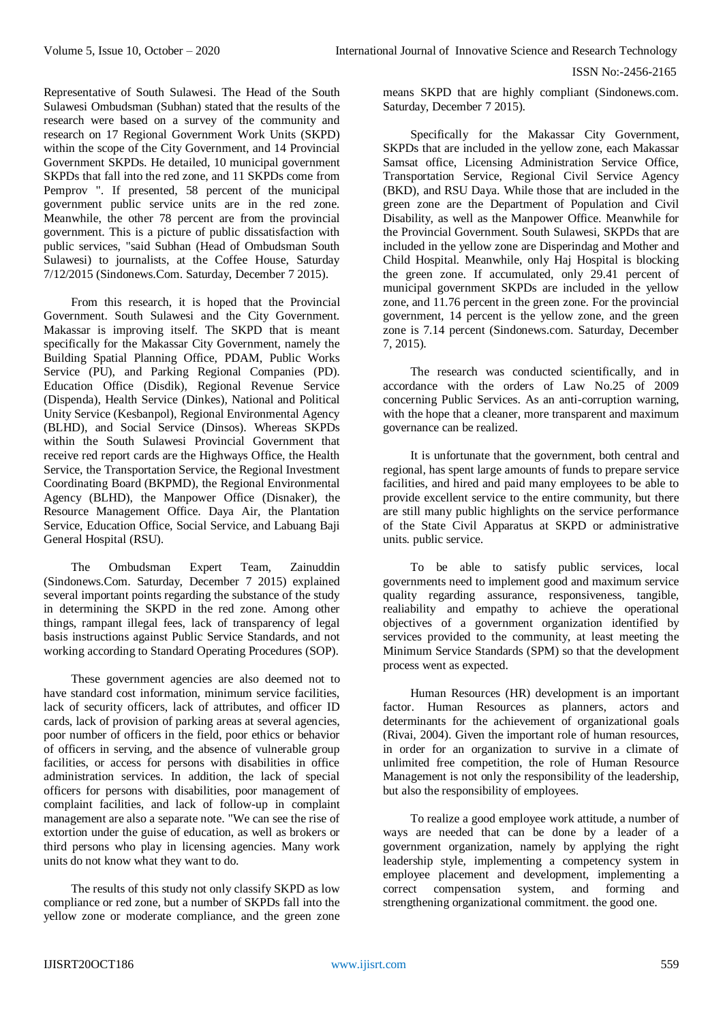Representative of South Sulawesi. The Head of the South Sulawesi Ombudsman (Subhan) stated that the results of the research were based on a survey of the community and research on 17 Regional Government Work Units (SKPD) within the scope of the City Government, and 14 Provincial Government SKPDs. He detailed, 10 municipal government SKPDs that fall into the red zone, and 11 SKPDs come from Pemprov ". If presented, 58 percent of the municipal government public service units are in the red zone. Meanwhile, the other 78 percent are from the provincial government. This is a picture of public dissatisfaction with public services, "said Subhan (Head of Ombudsman South Sulawesi) to journalists, at the Coffee House, Saturday 7/12/2015 (Sindonews.Com. Saturday, December 7 2015).

From this research, it is hoped that the Provincial Government. South Sulawesi and the City Government. Makassar is improving itself. The SKPD that is meant specifically for the Makassar City Government, namely the Building Spatial Planning Office, PDAM, Public Works Service (PU), and Parking Regional Companies (PD). Education Office (Disdik), Regional Revenue Service (Dispenda), Health Service (Dinkes), National and Political Unity Service (Kesbanpol), Regional Environmental Agency (BLHD), and Social Service (Dinsos). Whereas SKPDs within the South Sulawesi Provincial Government that receive red report cards are the Highways Office, the Health Service, the Transportation Service, the Regional Investment Coordinating Board (BKPMD), the Regional Environmental Agency (BLHD), the Manpower Office (Disnaker), the Resource Management Office. Daya Air, the Plantation Service, Education Office, Social Service, and Labuang Baji General Hospital (RSU).

The Ombudsman Expert Team, Zainuddin (Sindonews.Com. Saturday, December 7 2015) explained several important points regarding the substance of the study in determining the SKPD in the red zone. Among other things, rampant illegal fees, lack of transparency of legal basis instructions against Public Service Standards, and not working according to Standard Operating Procedures (SOP).

These government agencies are also deemed not to have standard cost information, minimum service facilities, lack of security officers, lack of attributes, and officer ID cards, lack of provision of parking areas at several agencies, poor number of officers in the field, poor ethics or behavior of officers in serving, and the absence of vulnerable group facilities, or access for persons with disabilities in office administration services. In addition, the lack of special officers for persons with disabilities, poor management of complaint facilities, and lack of follow-up in complaint management are also a separate note. "We can see the rise of extortion under the guise of education, as well as brokers or third persons who play in licensing agencies. Many work units do not know what they want to do.

The results of this study not only classify SKPD as low compliance or red zone, but a number of SKPDs fall into the yellow zone or moderate compliance, and the green zone

means SKPD that are highly compliant (Sindonews.com. Saturday, December 7 2015).

Specifically for the Makassar City Government, SKPDs that are included in the yellow zone, each Makassar Samsat office, Licensing Administration Service Office, Transportation Service, Regional Civil Service Agency (BKD), and RSU Daya. While those that are included in the green zone are the Department of Population and Civil Disability, as well as the Manpower Office. Meanwhile for the Provincial Government. South Sulawesi, SKPDs that are included in the yellow zone are Disperindag and Mother and Child Hospital. Meanwhile, only Haj Hospital is blocking the green zone. If accumulated, only 29.41 percent of municipal government SKPDs are included in the yellow zone, and 11.76 percent in the green zone. For the provincial government, 14 percent is the yellow zone, and the green zone is 7.14 percent (Sindonews.com. Saturday, December 7, 2015).

The research was conducted scientifically, and in accordance with the orders of Law No.25 of 2009 concerning Public Services. As an anti-corruption warning, with the hope that a cleaner, more transparent and maximum governance can be realized.

It is unfortunate that the government, both central and regional, has spent large amounts of funds to prepare service facilities, and hired and paid many employees to be able to provide excellent service to the entire community, but there are still many public highlights on the service performance of the State Civil Apparatus at SKPD or administrative units. public service.

To be able to satisfy public services, local governments need to implement good and maximum service quality regarding assurance, responsiveness, tangible, realiability and empathy to achieve the operational objectives of a government organization identified by services provided to the community, at least meeting the Minimum Service Standards (SPM) so that the development process went as expected.

Human Resources (HR) development is an important factor. Human Resources as planners, actors and determinants for the achievement of organizational goals (Rivai, 2004). Given the important role of human resources, in order for an organization to survive in a climate of unlimited free competition, the role of Human Resource Management is not only the responsibility of the leadership, but also the responsibility of employees.

To realize a good employee work attitude, a number of ways are needed that can be done by a leader of a government organization, namely by applying the right leadership style, implementing a competency system in employee placement and development, implementing a correct compensation system, and forming and correct compensation system, and forming and strengthening organizational commitment. the good one.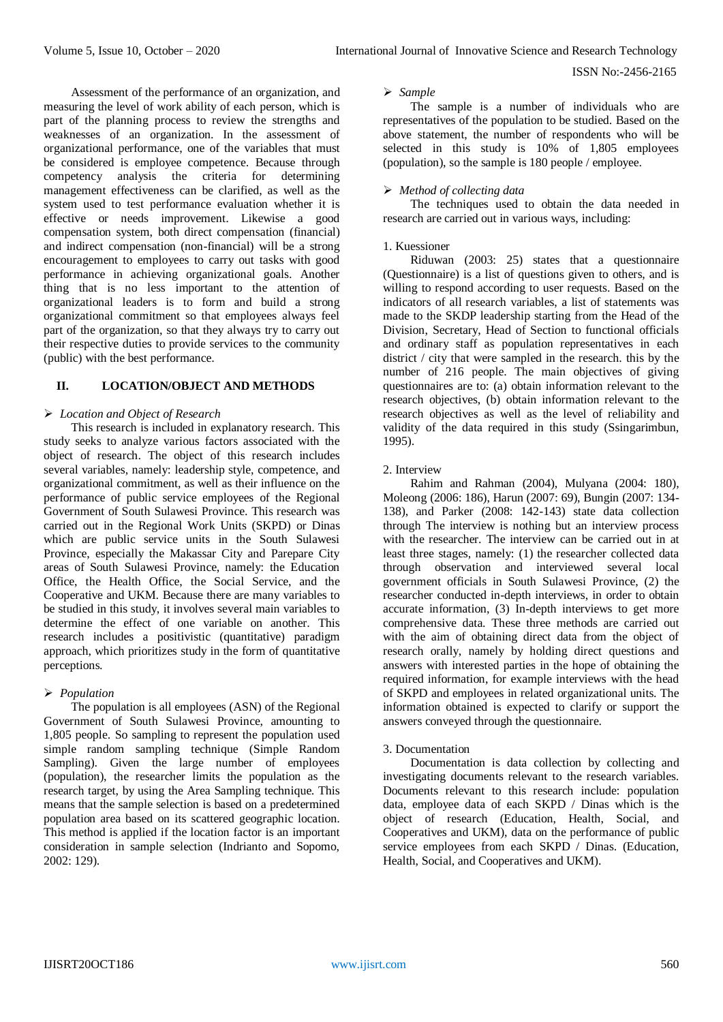Assessment of the performance of an organization, and measuring the level of work ability of each person, which is part of the planning process to review the strengths and weaknesses of an organization. In the assessment of organizational performance, one of the variables that must be considered is employee competence. Because through competency analysis the criteria for determining management effectiveness can be clarified, as well as the system used to test performance evaluation whether it is effective or needs improvement. Likewise a good compensation system, both direct compensation (financial) and indirect compensation (non-financial) will be a strong encouragement to employees to carry out tasks with good performance in achieving organizational goals. Another thing that is no less important to the attention of organizational leaders is to form and build a strong organizational commitment so that employees always feel part of the organization, so that they always try to carry out their respective duties to provide services to the community (public) with the best performance.

# **II. LOCATION/OBJECT AND METHODS**

## *Location and Object of Research*

This research is included in explanatory research. This study seeks to analyze various factors associated with the object of research. The object of this research includes several variables, namely: leadership style, competence, and organizational commitment, as well as their influence on the performance of public service employees of the Regional Government of South Sulawesi Province. This research was carried out in the Regional Work Units (SKPD) or Dinas which are public service units in the South Sulawesi Province, especially the Makassar City and Parepare City areas of South Sulawesi Province, namely: the Education Office, the Health Office, the Social Service, and the Cooperative and UKM. Because there are many variables to be studied in this study, it involves several main variables to determine the effect of one variable on another. This research includes a positivistic (quantitative) paradigm approach, which prioritizes study in the form of quantitative perceptions.

## *Population*

The population is all employees (ASN) of the Regional Government of South Sulawesi Province, amounting to 1,805 people. So sampling to represent the population used simple random sampling technique (Simple Random Sampling). Given the large number of employees (population), the researcher limits the population as the research target, by using the Area Sampling technique. This means that the sample selection is based on a predetermined population area based on its scattered geographic location. This method is applied if the location factor is an important consideration in sample selection (Indrianto and Sopomo, 2002: 129).

## *Sample*

The sample is a number of individuals who are representatives of the population to be studied. Based on the above statement, the number of respondents who will be selected in this study is 10% of 1,805 employees (population), so the sample is 180 people / employee.

# *Method of collecting data*

The techniques used to obtain the data needed in research are carried out in various ways, including:

## 1. Kuessioner

Riduwan (2003: 25) states that a questionnaire (Questionnaire) is a list of questions given to others, and is willing to respond according to user requests. Based on the indicators of all research variables, a list of statements was made to the SKDP leadership starting from the Head of the Division, Secretary, Head of Section to functional officials and ordinary staff as population representatives in each district / city that were sampled in the research. this by the number of 216 people. The main objectives of giving questionnaires are to: (a) obtain information relevant to the research objectives, (b) obtain information relevant to the research objectives as well as the level of reliability and validity of the data required in this study (Ssingarimbun, 1995).

## 2. Interview

Rahim and Rahman (2004), Mulyana (2004: 180), Moleong (2006: 186), Harun (2007: 69), Bungin (2007: 134- 138), and Parker (2008: 142-143) state data collection through The interview is nothing but an interview process with the researcher. The interview can be carried out in at least three stages, namely: (1) the researcher collected data through observation and interviewed several local government officials in South Sulawesi Province, (2) the researcher conducted in-depth interviews, in order to obtain accurate information, (3) In-depth interviews to get more comprehensive data. These three methods are carried out with the aim of obtaining direct data from the object of research orally, namely by holding direct questions and answers with interested parties in the hope of obtaining the required information, for example interviews with the head of SKPD and employees in related organizational units. The information obtained is expected to clarify or support the answers conveyed through the questionnaire.

## 3. Documentation

Documentation is data collection by collecting and investigating documents relevant to the research variables. Documents relevant to this research include: population data, employee data of each SKPD / Dinas which is the object of research (Education, Health, Social, and Cooperatives and UKM), data on the performance of public service employees from each SKPD / Dinas. (Education, Health, Social, and Cooperatives and UKM).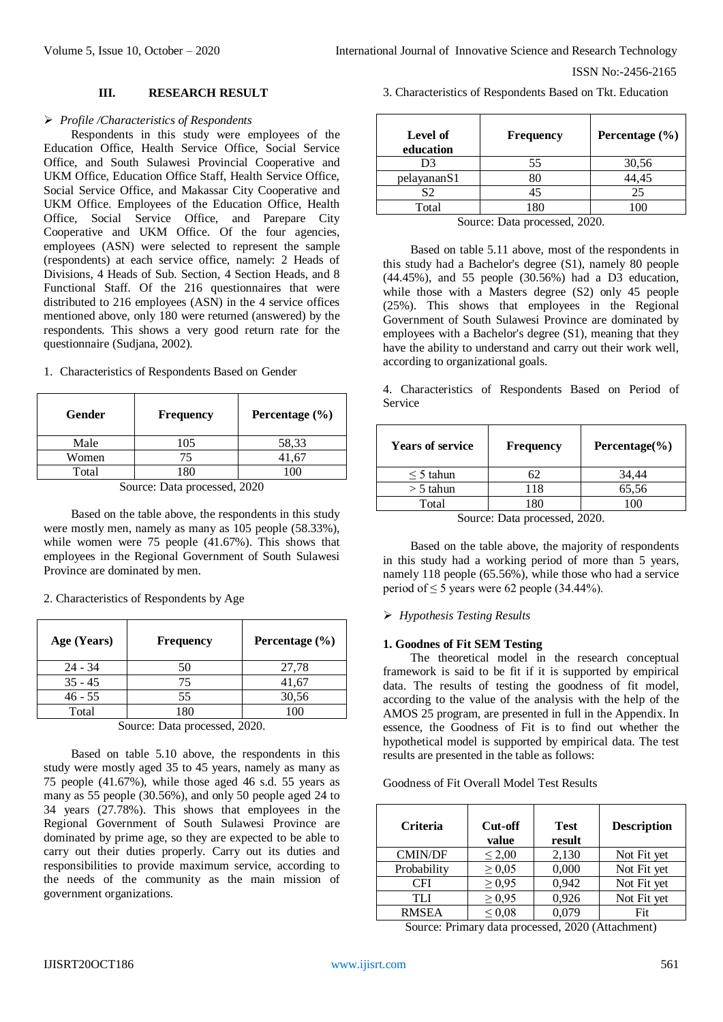ISSN No:-2456-2165

## **III. RESEARCH RESULT**

## *Profile /Characteristics of Respondents*

Respondents in this study were employees of the Education Office, Health Service Office, Social Service Office, and South Sulawesi Provincial Cooperative and UKM Office, Education Office Staff, Health Service Office, Social Service Office, and Makassar City Cooperative and UKM Office. Employees of the Education Office, Health Office, Social Service Office, and Parepare City Cooperative and UKM Office. Of the four agencies, employees (ASN) were selected to represent the sample (respondents) at each service office, namely: 2 Heads of Divisions, 4 Heads of Sub. Section, 4 Section Heads, and 8 Functional Staff. Of the 216 questionnaires that were distributed to 216 employees (ASN) in the 4 service offices mentioned above, only 180 were returned (answered) by the respondents. This shows a very good return rate for the questionnaire (Sudjana, 2002).

|  | 1. Characteristics of Respondents Based on Gender |  |  |  |
|--|---------------------------------------------------|--|--|--|
|--|---------------------------------------------------|--|--|--|

| Gender | <b>Frequency</b> | Percentage $(\% )$ |
|--------|------------------|--------------------|
| Male   | 105              | 58,33              |
| Women  | 75               | 41.67              |
| Total  |                  |                    |

Source: Data processed, 2020

Based on the table above, the respondents in this study were mostly men, namely as many as 105 people (58.33%), while women were 75 people (41.67%). This shows that employees in the Regional Government of South Sulawesi Province are dominated by men.

2. Characteristics of Respondents by Age

| Age (Years) | <b>Frequency</b> | Percentage (%) |
|-------------|------------------|----------------|
| $24 - 34$   | 50               | 27,78          |
| $35 - 45$   | 75               | 41,67          |
| $46 - 55$   | 55               | 30,56          |
| Total       | 1 Q N            | ۱M             |

Source: Data processed, 2020.

Based on table 5.10 above, the respondents in this study were mostly aged 35 to 45 years, namely as many as 75 people (41.67%), while those aged 46 s.d. 55 years as many as 55 people (30.56%), and only 50 people aged 24 to 34 years (27.78%). This shows that employees in the Regional Government of South Sulawesi Province are dominated by prime age, so they are expected to be able to carry out their duties properly. Carry out its duties and responsibilities to provide maximum service, according to the needs of the community as the main mission of government organizations.

3. Characteristics of Respondents Based on Tkt. Education

| Level of<br>education | Frequency | Percentage $(\% )$ |
|-----------------------|-----------|--------------------|
| D3                    | 55        | 30,56              |
| pelayananS1           | 80        | 44,45              |
| S2                    | 45        | 25                 |
| Total                 | 80        |                    |

Source: Data processed, 2020.

Based on table 5.11 above, most of the respondents in this study had a Bachelor's degree (S1), namely 80 people (44.45%), and 55 people (30.56%) had a D3 education, while those with a Masters degree (S2) only 45 people (25%). This shows that employees in the Regional Government of South Sulawesi Province are dominated by employees with a Bachelor's degree (S1), meaning that they have the ability to understand and carry out their work well, according to organizational goals.

4. Characteristics of Respondents Based on Period of Service

| <b>Years of service</b>     | <b>Frequency</b> | Percentage $(\% )$ |  |  |  |
|-----------------------------|------------------|--------------------|--|--|--|
| $\leq$ 5 tahun              | 62               | 34,44              |  |  |  |
| $>$ 5 tahun                 | 118              | 65,56              |  |  |  |
| Total                       | 180              | 100                |  |  |  |
| Source: Data processed 2020 |                  |                    |  |  |  |

Source: Data processed, 2020.

Based on the table above, the majority of respondents in this study had a working period of more than 5 years, namely 118 people (65.56%), while those who had a service period of  $\leq$  5 years were 62 people (34.44%).

## *Hypothesis Testing Results*

#### **1. Goodnes of Fit SEM Testing**

The theoretical model in the research conceptual framework is said to be fit if it is supported by empirical data. The results of testing the goodness of fit model, according to the value of the analysis with the help of the AMOS 25 program, are presented in full in the Appendix. In essence, the Goodness of Fit is to find out whether the hypothetical model is supported by empirical data. The test results are presented in the table as follows:

#### Goodness of Fit Overall Model Test Results

| <b>Criteria</b> | Cut-off<br>value | <b>Test</b><br>result | <b>Description</b> |
|-----------------|------------------|-----------------------|--------------------|
| <b>CMIN/DF</b>  | $\leq 2,00$      | 2,130                 | Not Fit yet        |
| Probability     | $\geq 0.05$      | 0,000                 | Not Fit yet        |
| CFI             | $\geq 0.95$      | 0.942                 | Not Fit yet        |
| TI J            | $\geq 0.95$      | 0,926                 | Not Fit yet        |
| <b>RMSEA</b>    | $\leq 0.08$      |                       | Fit                |

Source: Primary data processed, 2020 (Attachment)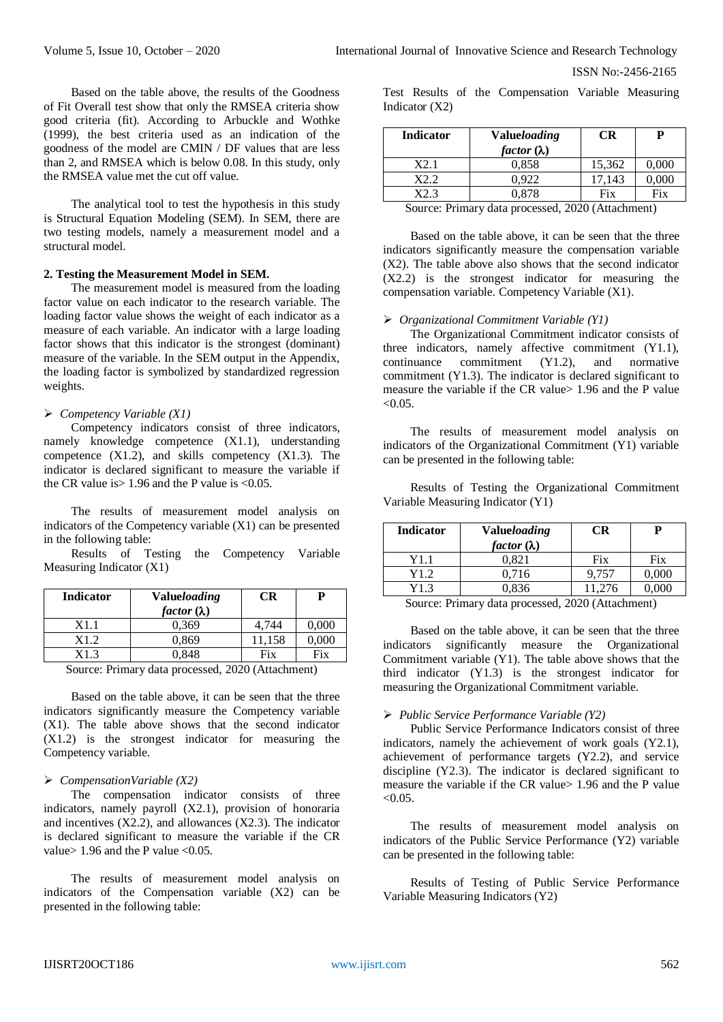Based on the table above, the results of the Goodness of Fit Overall test show that only the RMSEA criteria show good criteria (fit). According to Arbuckle and Wothke (1999), the best criteria used as an indication of the goodness of the model are CMIN / DF values that are less than 2, and RMSEA which is below 0.08. In this study, only the RMSEA value met the cut off value.

The analytical tool to test the hypothesis in this study is Structural Equation Modeling (SEM). In SEM, there are two testing models, namely a measurement model and a structural model.

## **2. Testing the Measurement Model in SEM.**

The measurement model is measured from the loading factor value on each indicator to the research variable. The loading factor value shows the weight of each indicator as a measure of each variable. An indicator with a large loading factor shows that this indicator is the strongest (dominant) measure of the variable. In the SEM output in the Appendix, the loading factor is symbolized by standardized regression weights.

## *Competency Variable (X1)*

Competency indicators consist of three indicators, namely knowledge competence (X1.1), understanding competence (X1.2), and skills competency (X1.3). The indicator is declared significant to measure the variable if the CR value is  $> 1.96$  and the P value is  $< 0.05$ .

The results of measurement model analysis on indicators of the Competency variable (X1) can be presented in the following table:

Results of Testing the Competency Variable Measuring Indicator (X1)

| <b>Indicator</b> | <b>Valueloading</b> | CR                |                |
|------------------|---------------------|-------------------|----------------|
|                  | factor $(\lambda)$  |                   |                |
| X1.1             | 0.369               | 4.744             | 0,000          |
| X1.2             | 0,869               | 11,158            | 0,000          |
| X1.3             | 0.848               | Fix               | Fix            |
| n ·<br>$\sim$    | $\blacksquare$      | $0.000 \pm 0.001$ | $\cdot$ $\sim$ |

Source: Primary data processed, 2020 (Attachment)

Based on the table above, it can be seen that the three indicators significantly measure the Competency variable (X1). The table above shows that the second indicator (X1.2) is the strongest indicator for measuring the Competency variable.

#### *CompensationVariable (X2)*

The compensation indicator consists of three indicators, namely payroll (X2.1), provision of honoraria and incentives  $(X2.2)$ , and allowances  $(X2.3)$ . The indicator is declared significant to measure the variable if the CR value > 1.96 and the P value <  $0.05$ .

The results of measurement model analysis on indicators of the Compensation variable (X2) can be presented in the following table:

Test Results of the Compensation Variable Measuring Indicator (X2)

| <b>Indicator</b> | <b>Valueloading</b> | CR     | Р     |
|------------------|---------------------|--------|-------|
|                  | factor $(\lambda)$  |        |       |
| X2.1             | 0,858               | 15,362 | 0,000 |
| 89 d             | 0.922               | 17.143 | 0.000 |
|                  | ን ጸ7ጸ               | Fix    | Fix   |

Source: Primary data processed, 2020 (Attachment)

Based on the table above, it can be seen that the three indicators significantly measure the compensation variable (X2). The table above also shows that the second indicator (X2.2) is the strongest indicator for measuring the compensation variable. Competency Variable (X1).

## *Organizational Commitment Variable (Y1)*

The Organizational Commitment indicator consists of three indicators, namely affective commitment (Y1.1), continuance commitment (Y1.2), and normative commitment (Y1.3). The indicator is declared significant to measure the variable if the CR value> 1.96 and the P value  $< 0.05$ 

The results of measurement model analysis on indicators of the Organizational Commitment (Y1) variable can be presented in the following table:

Results of Testing the Organizational Commitment Variable Measuring Indicator (Y1)

| <b>Indicator</b> | <b>Valueloading</b><br>factor $(\lambda)$ | CR    |       |
|------------------|-------------------------------------------|-------|-------|
| Y1.1             | 0.821                                     | Fix   | Fix   |
| Y1.2             | 0.716                                     | 9.757 | 0.000 |
| Y1.3             | 0.836                                     | .276  |       |

Source: Primary data processed, 2020 (Attachment)

Based on the table above, it can be seen that the three indicators significantly measure the Organizational Commitment variable (Y1). The table above shows that the third indicator (Y1.3) is the strongest indicator for measuring the Organizational Commitment variable.

#### *Public Service Performance Variable (Y2)*

Public Service Performance Indicators consist of three indicators, namely the achievement of work goals (Y2.1), achievement of performance targets (Y2.2), and service discipline (Y2.3). The indicator is declared significant to measure the variable if the CR value 1.96 and the P value  $< 0.05$ 

The results of measurement model analysis on indicators of the Public Service Performance (Y2) variable can be presented in the following table:

Results of Testing of Public Service Performance Variable Measuring Indicators (Y2)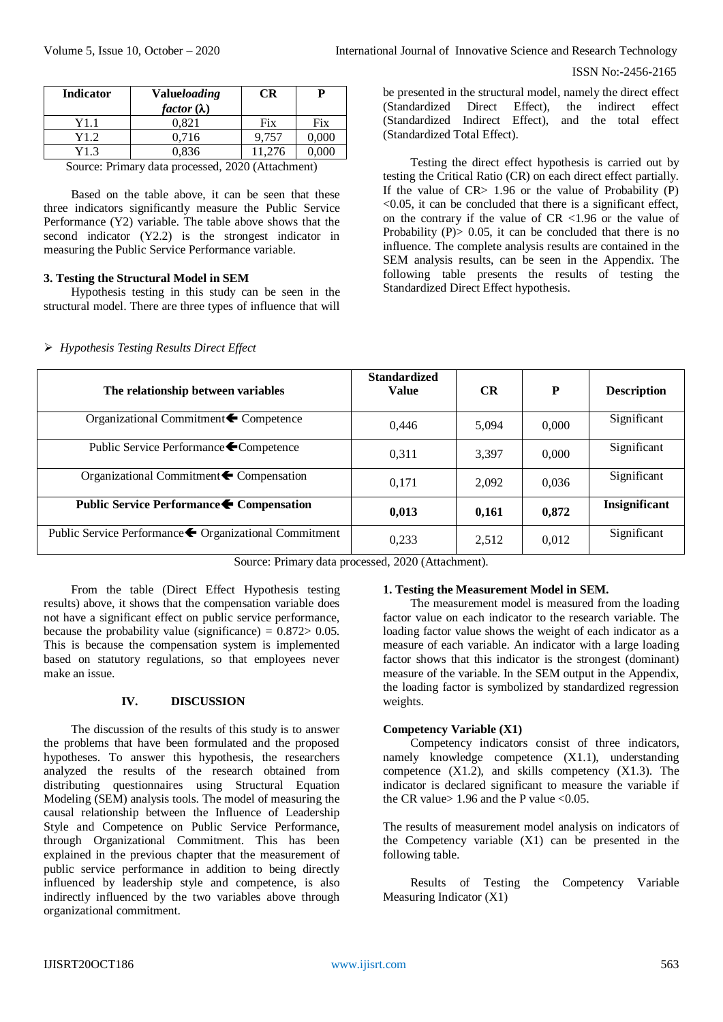| <b>Indicator</b>                                 | <b>Valueloading</b> | <b>CR</b> | P     |  |
|--------------------------------------------------|---------------------|-----------|-------|--|
|                                                  | factor $(\lambda)$  |           |       |  |
| Y1.1                                             | 0.821               | Fix       | Fix   |  |
| Y1.2                                             | 0.716               | 9.757     | 0,000 |  |
| Y1.3                                             | 0,836               | 11.276    | 0,000 |  |
| Source: Drimary data processed 2020 (Attachment) |                     |           |       |  |

Source: Primary data processed, 2020 (Attachment)

Based on the table above, it can be seen that these three indicators significantly measure the Public Service Performance (Y2) variable. The table above shows that the second indicator (Y2.2) is the strongest indicator in measuring the Public Service Performance variable.

## **3. Testing the Structural Model in SEM**

*Hypothesis Testing Results Direct Effect*

Hypothesis testing in this study can be seen in the structural model. There are three types of influence that will

be presented in the structural model, namely the direct effect (Standardized Direct Effect), the indirect effect (Standardized Indirect Effect), and the total effect (Standardized Total Effect).

Testing the direct effect hypothesis is carried out by testing the Critical Ratio (CR) on each direct effect partially. If the value of  $CR$  1.96 or the value of Probability  $(P)$  $\leq 0.05$ , it can be concluded that there is a significant effect, on the contrary if the value of CR <1.96 or the value of Probability (P) $> 0.05$ , it can be concluded that there is no influence. The complete analysis results are contained in the SEM analysis results, can be seen in the Appendix. The following table presents the results of testing the Standardized Direct Effect hypothesis.

| The relationship between variables                     | <b>Standardized</b><br><b>Value</b> | <b>CR</b> | P     | <b>Description</b> |
|--------------------------------------------------------|-------------------------------------|-----------|-------|--------------------|
| Organizational Commitment ← Competence                 | 0.446                               | 5.094     | 0.000 | Significant        |
| Public Service Performance ← Competence                | 0.311                               | 3,397     | 0.000 | Significant        |
| Organizational Commitment ← Compensation               | 0.171                               | 2,092     | 0,036 | Significant        |
| Public Service Performance ← Compensation              | 0,013                               | 0,161     | 0,872 | Insignificant      |
| Public Service Performance ← Organizational Commitment | 0,233                               | 2,512     | 0,012 | Significant        |

Source: Primary data processed, 2020 (Attachment).

From the table (Direct Effect Hypothesis testing results) above, it shows that the compensation variable does not have a significant effect on public service performance, because the probability value (significance) =  $0.872 > 0.05$ . This is because the compensation system is implemented based on statutory regulations, so that employees never make an issue.

# **IV. DISCUSSION**

The discussion of the results of this study is to answer the problems that have been formulated and the proposed hypotheses. To answer this hypothesis, the researchers analyzed the results of the research obtained from distributing questionnaires using Structural Equation Modeling (SEM) analysis tools. The model of measuring the causal relationship between the Influence of Leadership Style and Competence on Public Service Performance, through Organizational Commitment. This has been explained in the previous chapter that the measurement of public service performance in addition to being directly influenced by leadership style and competence, is also indirectly influenced by the two variables above through organizational commitment.

# **1. Testing the Measurement Model in SEM.**

The measurement model is measured from the loading factor value on each indicator to the research variable. The loading factor value shows the weight of each indicator as a measure of each variable. An indicator with a large loading factor shows that this indicator is the strongest (dominant) measure of the variable. In the SEM output in the Appendix, the loading factor is symbolized by standardized regression weights.

## **Competency Variable (X1)**

Competency indicators consist of three indicators, namely knowledge competence (X1.1), understanding competence  $(X1.\overline{2})$ , and skills competency  $(X1.3)$ . The indicator is declared significant to measure the variable if the CR value  $> 1.96$  and the P value  $< 0.05$ .

The results of measurement model analysis on indicators of the Competency variable (X1) can be presented in the following table.

Results of Testing the Competency Variable Measuring Indicator (X1)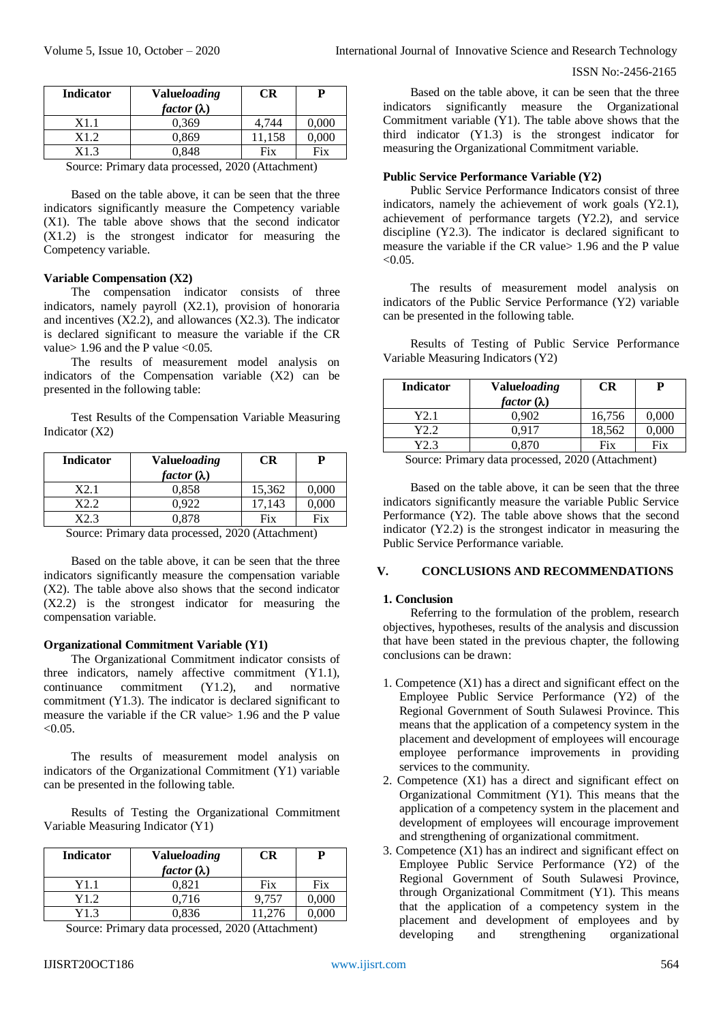| <b>Indicator</b>            | <b>Valueloading</b><br>CR |        | Р         |  |
|-----------------------------|---------------------------|--------|-----------|--|
|                             | factor $(\lambda)$        |        |           |  |
| X1.1                        | 0.369                     | 4.744  | 0,000     |  |
| X1.2                        | 0,869                     | 11,158 | $0.000\,$ |  |
| X1.3                        | 0.848                     | Fix    | Fix       |  |
| Carrier Daman data magagard |                           |        |           |  |

Source: Primary data processed, 2020 (Attachment)

Based on the table above, it can be seen that the three indicators significantly measure the Competency variable (X1). The table above shows that the second indicator (X1.2) is the strongest indicator for measuring the Competency variable.

## **Variable Compensation (X2)**

The compensation indicator consists of three indicators, namely payroll (X2.1), provision of honoraria and incentives  $(X2.2)$ , and allowances  $(X2.3)$ . The indicator is declared significant to measure the variable if the CR value  $1.96$  and the P value  $< 0.05$ .

The results of measurement model analysis on indicators of the Compensation variable (X2) can be presented in the following table:

Test Results of the Compensation Variable Measuring Indicator (X2)

| <b>Indicator</b> | <b>Valueloading</b><br>factor $(\lambda)$ | CR     | P         |
|------------------|-------------------------------------------|--------|-----------|
| X2.1             | 0.858                                     | 15,362 | 0,000     |
| X2 2             | 0.922                                     | 17.143 | $0.000\,$ |
| X9 3             | 0,878                                     | Fix    | Fix       |

Source: Primary data processed, 2020 (Attachment)

Based on the table above, it can be seen that the three indicators significantly measure the compensation variable (X2). The table above also shows that the second indicator (X2.2) is the strongest indicator for measuring the compensation variable.

## **Organizational Commitment Variable (Y1)**

The Organizational Commitment indicator consists of three indicators, namely affective commitment (Y1.1), continuance commitment (Y1.2), and normative commitment (Y1.3). The indicator is declared significant to measure the variable if the CR value> 1.96 and the P value  $< 0.05$ .

The results of measurement model analysis on indicators of the Organizational Commitment (Y1) variable can be presented in the following table.

Results of Testing the Organizational Commitment Variable Measuring Indicator (Y1)

| <b>Indicator</b> | <b>Valueloading</b><br>factor $(\lambda)$ | CR     |       |
|------------------|-------------------------------------------|--------|-------|
| Y1.1             | 0,821                                     | Fix    | Fix   |
| Y1.2             | 0.716                                     | 9.757  | 0,000 |
| Y1.3             | 0.836                                     | 11.276 | 0.000 |

Source: Primary data processed, 2020 (Attachment)

Based on the table above, it can be seen that the three indicators significantly measure the Organizational Commitment variable (Y1). The table above shows that the third indicator (Y1.3) is the strongest indicator for measuring the Organizational Commitment variable.

## **Public Service Performance Variable (Y2)**

Public Service Performance Indicators consist of three indicators, namely the achievement of work goals (Y2.1), achievement of performance targets (Y2.2), and service discipline (Y2.3). The indicator is declared significant to measure the variable if the CR value > 1.96 and the P value  $< 0.05$ .

The results of measurement model analysis on indicators of the Public Service Performance (Y2) variable can be presented in the following table.

Results of Testing of Public Service Performance Variable Measuring Indicators (Y2)

| <b>Indicator</b> | <b>Valueloading</b><br>factor $(\lambda)$ | CR     | P     |
|------------------|-------------------------------------------|--------|-------|
| Y2.1             | 0.902                                     | 16,756 | 0,000 |
| Y2.2             | 0.917                                     | 18,562 | 0,000 |
| Y2.3             | 0.870                                     | Fix    | Fix   |

Source: Primary data processed, 2020 (Attachment)

Based on the table above, it can be seen that the three indicators significantly measure the variable Public Service Performance (Y2). The table above shows that the second indicator (Y2.2) is the strongest indicator in measuring the Public Service Performance variable.

# **V. CONCLUSIONS AND RECOMMENDATIONS**

## **1. Conclusion**

Referring to the formulation of the problem, research objectives, hypotheses, results of the analysis and discussion that have been stated in the previous chapter, the following conclusions can be drawn:

- 1. Competence (X1) has a direct and significant effect on the Employee Public Service Performance (Y2) of the Regional Government of South Sulawesi Province. This means that the application of a competency system in the placement and development of employees will encourage employee performance improvements in providing services to the community.
- 2. Competence (X1) has a direct and significant effect on Organizational Commitment (Y1). This means that the application of a competency system in the placement and development of employees will encourage improvement and strengthening of organizational commitment.
- 3. Competence (X1) has an indirect and significant effect on Employee Public Service Performance (Y2) of the Regional Government of South Sulawesi Province, through Organizational Commitment (Y1). This means that the application of a competency system in the placement and development of employees and by developing and strengthening organizational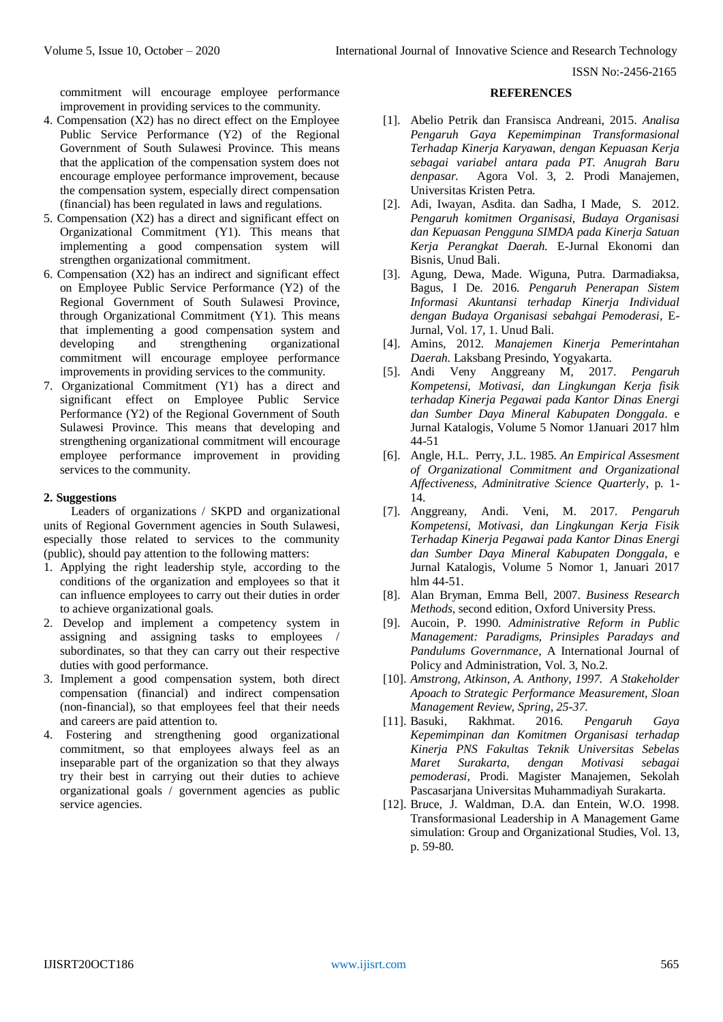commitment will encourage employee performance improvement in providing services to the community.

- 4. Compensation (X2) has no direct effect on the Employee Public Service Performance (Y2) of the Regional Government of South Sulawesi Province. This means that the application of the compensation system does not encourage employee performance improvement, because the compensation system, especially direct compensation (financial) has been regulated in laws and regulations.
- 5. Compensation (X2) has a direct and significant effect on Organizational Commitment (Y1). This means that implementing a good compensation system will strengthen organizational commitment.
- 6. Compensation (X2) has an indirect and significant effect on Employee Public Service Performance (Y2) of the Regional Government of South Sulawesi Province, through Organizational Commitment (Y1). This means that implementing a good compensation system and developing and strengthening organizational commitment will encourage employee performance improvements in providing services to the community.
- 7. Organizational Commitment (Y1) has a direct and significant effect on Employee Public Service Performance (Y2) of the Regional Government of South Sulawesi Province. This means that developing and strengthening organizational commitment will encourage employee performance improvement in providing services to the community.

# **2. Suggestions**

Leaders of organizations / SKPD and organizational units of Regional Government agencies in South Sulawesi, especially those related to services to the community (public), should pay attention to the following matters:

- 1. Applying the right leadership style, according to the conditions of the organization and employees so that it can influence employees to carry out their duties in order to achieve organizational goals.
- 2. Develop and implement a competency system in assigning and assigning tasks to employees / subordinates, so that they can carry out their respective duties with good performance.
- 3. Implement a good compensation system, both direct compensation (financial) and indirect compensation (non-financial), so that employees feel that their needs and careers are paid attention to.
- 4. Fostering and strengthening good organizational commitment, so that employees always feel as an inseparable part of the organization so that they always try their best in carrying out their duties to achieve organizational goals / government agencies as public service agencies.

## **REFERENCES**

- [1]. Abelio Petrik dan Fransisca Andreani, 2015. *Analisa Pengaruh Gaya Kepemimpinan Transformasional Terhadap Kinerja Karyawan, dengan Kepuasan Kerja sebagai variabel antara pada PT. Anugrah Baru denpasar.* Agora Vol. 3, 2. Prodi Manajemen, Universitas Kristen Petra.
- [2]. Adi, Iwayan, Asdita. dan Sadha, I Made, S. 2012. *Pengaruh komitmen Organisasi, Budaya Organisasi dan Kepuasan Pengguna SIMDA pada Kinerja Satuan Kerja Perangkat Daerah.* E-Jurnal Ekonomi dan Bisnis, Unud Bali.
- [3]. Agung, Dewa, Made. Wiguna, Putra. Darmadiaksa, Bagus, I De. 2016. *Pengaruh Penerapan Sistem Informasi Akuntansi terhadap Kinerja Individual dengan Budaya Organisasi sebahgai Pemoderasi,* E-Jurnal, Vol. 17, 1. Unud Bali.
- [4]. Amins, 2012. *Manajemen Kinerja Pemerintahan Daerah.* Laksbang Presindo, Yogyakarta.
- [5]. Andi Veny Anggreany M, 2017. *Pengaruh Kompetensi, Motivasi, dan Lingkungan Kerja fisik terhadap Kinerja Pegawai pada Kantor Dinas Energi dan Sumber Daya Mineral Kabupaten Donggala*. e Jurnal Katalogis, Volume 5 Nomor 1Januari 2017 hlm 44-51
- [6]. Angle, H.L. Perry, J.L. 1985. *An Empirical Assesment of Organizational Commitment and Organizational Affectiveness, Adminitrative Science Quarterly*, p. 1- 14.
- [7]. Anggreany, Andi. Veni, M. 2017. *Pengaruh Kompetensi, Motivasi, dan Lingkungan Kerja Fisik Terhadap Kinerja Pegawai pada Kantor Dinas Energi dan Sumber Daya Mineral Kabupaten Donggala*, e Jurnal Katalogis, Volume 5 Nomor 1, Januari 2017 hlm 44-51.
- [8]. Alan Bryman, Emma Bell, 2007. *Business Research Methods*, second edition, Oxford University Press.
- [9]. Aucoin, P. 1990. *Administrative Reform in Public Management: Paradigms, Prinsiples Paradays and Pandulums Governmance*, A International Journal of Policy and Administration, Vol. 3, No.2.
- [10]. *Amstrong, Atkinson, A. Anthony, 1997. A Stakeholder Apoach to Strategic Performance Measurement, Sloan Management Review, Spring, 25-37.*
- [11]. Basuki, Rakhmat. 2016. *Pengaruh Gaya Kepemimpinan dan Komitmen Organisasi terhadap Kinerja PNS Fakultas Teknik Universitas Sebelas Maret Surakarta, dengan Motivasi sebagai pemoderasi*, Prodi. Magister Manajemen, Sekolah Pascasarjana Universitas Muhammadiyah Surakarta.
- [12]. Br*u*ce, J. Waldman, D.A. dan Entein, W.O. 1998. Transformasional Leadership in A Management Game simulation: Group and Organizational Studies, Vol. 13, p. 59-80.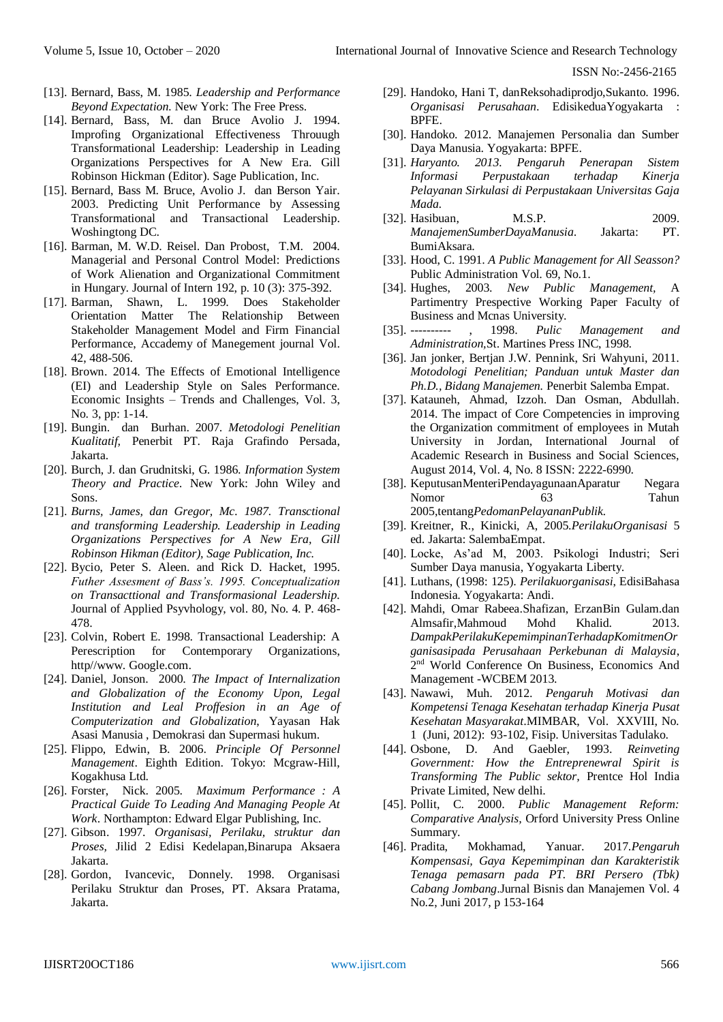- [13]. Bernard, Bass, M. 1985. *Leadership and Performance Beyond Expectation.* New York: The Free Press.
- [14]. Bernard, Bass, M. dan Bruce Avolio J. 1994. Improfing Organizational Effectiveness Throuugh Transformational Leadership: Leadership in Leading Organizations Perspectives for A New Era. Gill Robinson Hickman (Editor). Sage Publication, Inc.
- [15]. Bernard, Bass M. Bruce, Avolio J. dan Berson Yair. 2003. Predicting Unit Performance by Assessing Transformational and Transactional Leadership. Woshingtong DC.
- [16]. Barman, M. W.D. Reisel. Dan Probost, T.M. 2004. Managerial and Personal Control Model: Predictions of Work Alienation and Organizational Commitment in Hungary. Journal of Intern 192, p. 10 (3): 375-392.
- [17]. Barman, Shawn, L. 1999. Does Stakeholder Orientation Matter The Relationship Between Stakeholder Management Model and Firm Financial Performance, Accademy of Manegement journal Vol. 42, 488-506.
- [18]. Brown. 2014. The Effects of Emotional Intelligence (EI) and Leadership Style on Sales Performance. Economic Insights – Trends and Challenges, Vol. 3, No. 3, pp: 1-14.
- [19]. Bungin. dan Burhan. 2007. *Metodologi Penelitian Kualitatif,* Penerbit PT. Raja Grafindo Persada, Jakarta.
- [20]. Burch, J. dan Grudnitski, G. 1986. *Information System Theory and Practice.* New York: John Wiley and Sons.
- [21]. *Burns, James, dan Gregor, Mc. 1987. Transctional and transforming Leadership. Leadership in Leading Organizations Perspectives for A New Era, Gill Robinson Hikman (Editor), Sage Publication, Inc.*
- [22]. Bycio, Peter S. Aleen. and Rick D. Hacket, 1995. *Futher Assesment of Bass's. 1995. Conceptualization on Transacttional and Transformasional Leadership.*  Journal of Applied Psyvhology, vol. 80, No. 4. P. 468- 478.
- [23]. Colvin, Robert E. 1998. Transactional Leadership: A Perescription for Contemporary Organizations, http//www. Google.com.
- [24]. Daniel, Jonson. 2000. *The Impact of Internalization and Globalization of the Economy Upon, Legal Institution and Leal Proffesion in an Age of Computerization and Globalization*, Yayasan Hak Asasi Manusia , Demokrasi dan Supermasi hukum.
- [25]. Flippo, Edwin, B. 2006. *Principle Of Personnel Management*. Eighth Edition. Tokyo: Mcgraw-Hill, Kogakhusa Ltd.
- [26]. Forster, Nick. 2005. *Maximum Performance : A Practical Guide To Leading And Managing People At Work*. Northampton: Edward Elgar Publishing, Inc.
- [27]. Gibson. 1997. *Organisasi, Perilaku, struktur dan Proses,* Jilid 2 Edisi Kedelapan,Binarupa Aksaera Jakarta.
- [28]. Gordon, Ivancevic, Donnely. 1998. Organisasi Perilaku Struktur dan Proses, PT. Aksara Pratama, Jakarta.
- [29]. Handoko, Hani T, danReksohadiprodjo,Sukanto. 1996. *Organisasi Perusahaan*. EdisikeduaYogyakarta : BPFE.
- [30]. Handoko. 2012. Manajemen Personalia dan Sumber Daya Manusia. Yogyakarta: BPFE.
- [31]. *Haryanto. 2013. Pengaruh Penerapan Sistem Informasi Perpustakaan terhadap Kinerja Pelayanan Sirkulasi di Perpustakaan Universitas Gaja Mada.*
- [32]. Hasibuan, M.S.P. 2009. *ManajemenSumberDayaManusia*. Jakarta: PT. BumiAksara.
- [33]. Hood, C. 1991. *A Public Management for All Seasson?* Public Administration Vol. 69, No.1.
- [34]. Hughes, 2003. *New Public Management,* A Partimentry Prespective Working Paper Faculty of Business and Mcnas University.
- [35]. ---------- , 1998. *Pulic Management and Administration,*St. Martines Press INC, 1998.
- [36]. Jan jonker, Bertjan J.W. Pennink, Sri Wahyuni, 2011. *Motodologi Penelitian; Panduan untuk Master dan Ph.D., Bidang Manajemen.* Penerbit Salemba Empat.
- [37]. Katauneh, Ahmad, Izzoh. Dan Osman, Abdullah. 2014. The impact of Core Competencies in improving the Organization commitment of employees in Mutah University in Jordan, International Journal of Academic Research in Business and Social Sciences, August 2014, Vol. 4, No. 8 ISSN: 2222-6990.
- [38]. KeputusanMenteriPendayagunaanAparatur Negara Nomor 63 Tahun 2005,tentang*PedomanPelayananPublik.*
- [39]. Kreitner, R., Kinicki, A, 2005.*PerilakuOrganisasi* 5 ed. Jakarta: SalembaEmpat.
- [40]. Locke, As'ad M, 2003. Psikologi Industri; Seri Sumber Daya manusia, Yogyakarta Liberty.
- [41]. Luthans, (1998: 125). *Perilakuorganisasi*, EdisiBahasa Indonesia. Yogyakarta: Andi.
- [42]. Mahdi, Omar Rabeea.Shafizan, ErzanBin Gulam.dan Almsafir,Mahmoud Mohd Khalid. 2013. *DampakPerilakuKepemimpinanTerhadapKomitmenOr ganisasipada Perusahaan Perkebunan di Malaysia*, 2 nd World Conference On Business, Economics And Management -WCBEM 2013.
- [43]. Nawawi, Muh. 2012. *Pengaruh Motivasi dan Kompetensi Tenaga Kesehatan terhadap Kinerja Pusat Kesehatan Masyarakat*.MIMBAR, Vol. XXVIII, No. 1 (Juni, 2012): 93-102, Fisip. Universitas Tadulako.
- [44]. Osbone, D. And Gaebler, 1993. *Reinveting Government: How the Entreprenewral Spirit is Transforming The Public sektor,* Prentce Hol India Private Limited, New delhi.
- [45]. Pollit, C. 2000. *Public Management Reform: Comparative Analysis,* Orford University Press Online Summary.
- [46]. Pradita, Mokhamad, Yanuar. 2017.*Pengaruh Kompensasi, Gaya Kepemimpinan dan Karakteristik Tenaga pemasarn pada PT. BRI Persero (Tbk) Cabang Jombang*.Jurnal Bisnis dan Manajemen Vol. 4 No.2, Juni 2017, p 153-164